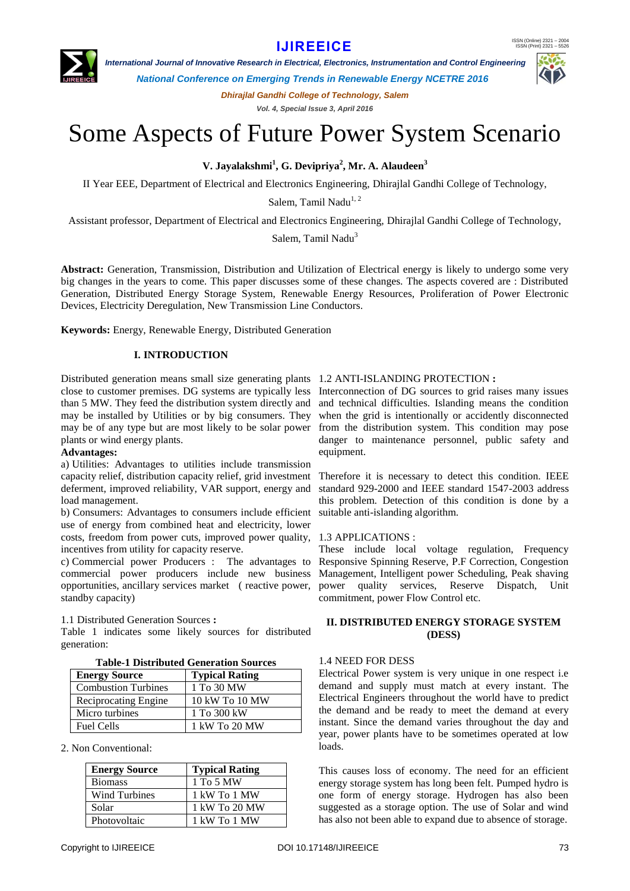# **IJIREEICE**



 *International Journal of Innovative Research in Electrical, Electronics, Instrumentation and Control Engineering*

*National Conference on Emerging Trends in Renewable Energy NCETRE 2016*

*Dhirajlal Gandhi College of Technology, Salem Vol. 4, Special Issue 3, April 2016*

# Some Aspects of Future Power System Scenario

**V. Jayalakshmi<sup>1</sup> , G. Devipriya<sup>2</sup> , Mr. A. Alaudeen<sup>3</sup>**

II Year EEE, Department of Electrical and Electronics Engineering, Dhirajlal Gandhi College of Technology,

Salem, Tamil Nadu<sup>1, 2</sup>

Assistant professor, Department of Electrical and Electronics Engineering, Dhirajlal Gandhi College of Technology,

Salem, Tamil Nadu<sup>3</sup>

**Abstract:** Generation, Transmission, Distribution and Utilization of Electrical energy is likely to undergo some very big changes in the years to come. This paper discusses some of these changes. The aspects covered are : Distributed Generation, Distributed Energy Storage System, Renewable Energy Resources, Proliferation of Power Electronic Devices, Electricity Deregulation, New Transmission Line Conductors.

**Keywords:** Energy, Renewable Energy, Distributed Generation

### **I. INTRODUCTION**

Distributed generation means small size generating plants 1.2 ANTI-ISLANDING PROTECTION **:** close to customer premises. DG systems are typically less Interconnection of DG sources to grid raises many issues than 5 MW. They feed the distribution system directly and may be installed by Utilities or by big consumers. They may be of any type but are most likely to be solar power plants or wind energy plants.

#### **Advantages:**

a) Utilities: Advantages to utilities include transmission capacity relief, distribution capacity relief, grid investment deferment, improved reliability, VAR support, energy and load management.

b) Consumers: Advantages to consumers include efficient use of energy from combined heat and electricity, lower costs, freedom from power cuts, improved power quality, 1.3 APPLICATIONS : incentives from utility for capacity reserve.

commercial power producers include new business standby capacity)

1.1 Distributed Generation Sources **:**

Table 1 indicates some likely sources for distributed generation:

|  | <b>Table-1 Distributed Generation Sources</b> |  |
|--|-----------------------------------------------|--|
|--|-----------------------------------------------|--|

| <b>Energy Source</b>       | <b>Typical Rating</b> |
|----------------------------|-----------------------|
| <b>Combustion Turbines</b> | 1 To 30 MW            |
| Reciprocating Engine       | 10 kW To 10 MW        |
| Micro turbines             | 1 To 300 kW           |
| <b>Fuel Cells</b>          | 1 kW To 20 MW         |

2. Non Conventional:

| <b>Energy Source</b> | <b>Typical Rating</b> |
|----------------------|-----------------------|
| <b>Biomass</b>       | 1 To 5 MW             |
| <b>Wind Turbines</b> | 1 kW To 1 MW          |
| Solar                | 1 kW To 20 MW         |
| Photovoltaic         | 1 kW To 1 MW          |

and technical difficulties. Islanding means the condition when the grid is intentionally or accidently disconnected from the distribution system. This condition may pose danger to maintenance personnel, public safety and equipment.

Therefore it is necessary to detect this condition. IEEE standard 929-2000 and IEEE standard 1547-2003 address this problem. Detection of this condition is done by a suitable anti-islanding algorithm.

c) Commercial power Producers : The advantages to Responsive Spinning Reserve, P.F Correction, Congestion opportunities, ancillary services market ( reactive power, power quality services, Reserve Dispatch, Unit These include local voltage regulation, Frequency Management, Intelligent power Scheduling, Peak shaving commitment, power Flow Control etc.

#### **II. DISTRIBUTED ENERGY STORAGE SYSTEM (DESS)**

#### 1.4 NEED FOR DESS

Electrical Power system is very unique in one respect i.e demand and supply must match at every instant. The Electrical Engineers throughout the world have to predict the demand and be ready to meet the demand at every instant. Since the demand varies throughout the day and year, power plants have to be sometimes operated at low loads.

This causes loss of economy. The need for an efficient energy storage system has long been felt. Pumped hydro is one form of energy storage. Hydrogen has also been suggested as a storage option. The use of Solar and wind has also not been able to expand due to absence of storage.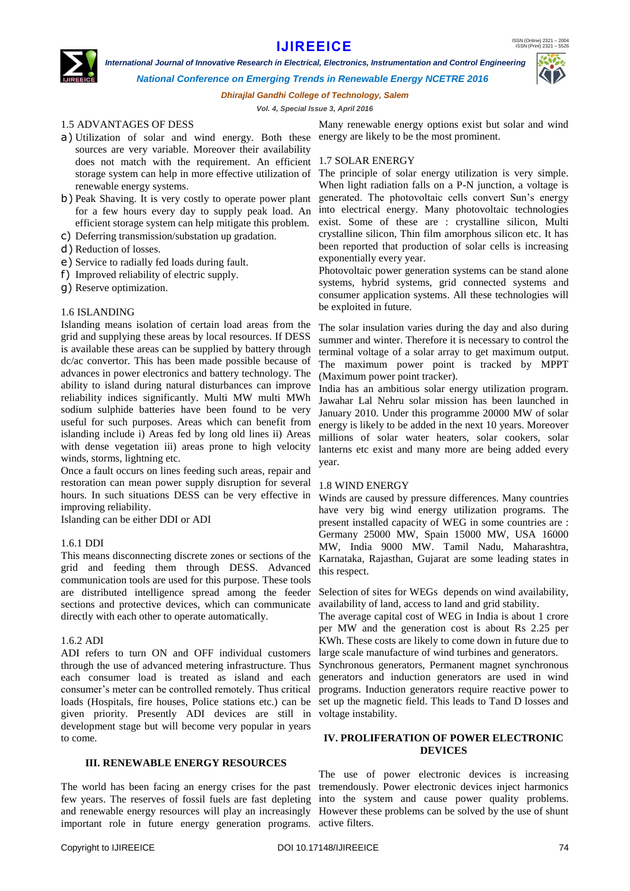ISSN (Online) 2321 – 2004 ISSN (Print) 2321 – 5526

## **IJIREEICE**

 *International Journal of Innovative Research in Electrical, Electronics, Instrumentation and Control Engineering*



*National Conference on Emerging Trends in Renewable Energy NCETRE 2016*

*Dhirajlal Gandhi College of Technology, Salem*

*Vol. 4, Special Issue 3, April 2016*

### 1.5 ADVANTAGES OF DESS

- a) Utilization of solar and wind energy. Both these energy are likely to be the most prominent. sources are very variable. Moreover their availability does not match with the requirement. An efficient 1.7 SOLAR ENERGY storage system can help in more effective utilization of renewable energy systems.
- b) Peak Shaving. It is very costly to operate power plant for a few hours every day to supply peak load. An efficient storage system can help mitigate this problem.
- c) Deferring transmission/substation up gradation.
- d) Reduction of losses.
- e) Service to radially fed loads during fault.
- f) Improved reliability of electric supply.

g) Reserve optimization.

#### 1.6 ISLANDING

Islanding means isolation of certain load areas from the grid and supplying these areas by local resources. If DESS is available these areas can be supplied by battery through dc/ac convertor. This has been made possible because of advances in power electronics and battery technology. The ability to island during natural disturbances can improve reliability indices significantly. Multi MW multi MWh sodium sulphide batteries have been found to be very useful for such purposes. Areas which can benefit from islanding include i) Areas fed by long old lines ii) Areas with dense vegetation iii) areas prone to high velocity winds, storms, lightning etc.

Once a fault occurs on lines feeding such areas, repair and restoration can mean power supply disruption for several hours. In such situations DESS can be very effective in improving reliability.

Islanding can be either DDI or ADI

#### 1.6.1 DDI

This means disconnecting discrete zones or sections of the grid and feeding them through DESS. Advanced communication tools are used for this purpose. These tools are distributed intelligence spread among the feeder sections and protective devices, which can communicate directly with each other to operate automatically.

#### 1.6.2 ADI

ADI refers to turn ON and OFF individual customers through the use of advanced metering infrastructure. Thus each consumer load is treated as island and each consumer's meter can be controlled remotely. Thus critical loads (Hospitals, fire houses, Police stations etc.) can be given priority. Presently ADI devices are still in voltage instability. development stage but will become very popular in years to come.

#### **III. RENEWABLE ENERGY RESOURCES**

The world has been facing an energy crises for the past few years. The reserves of fossil fuels are fast depleting important role in future energy generation programs. active filters.

The principle of solar energy utilization is very simple. When light radiation falls on a P-N junction, a voltage is generated. The photovoltaic cells convert Sun's energy into electrical energy. Many photovoltaic technologies exist. Some of these are : crystalline silicon, Multi crystalline silicon, Thin film amorphous silicon etc. It has been reported that production of solar cells is increasing exponentially every year.

Photovoltaic power generation systems can be stand alone systems, hybrid systems, grid connected systems and consumer application systems. All these technologies will be exploited in future.

The solar insulation varies during the day and also during summer and winter. Therefore it is necessary to control the terminal voltage of a solar array to get maximum output. The maximum power point is tracked by MPPT (Maximum power point tracker).

India has an ambitious solar energy utilization program. Jawahar Lal Nehru solar mission has been launched in January 2010. Under this programme 20000 MW of solar energy is likely to be added in the next 10 years. Moreover millions of solar water heaters, solar cookers, solar lanterns etc exist and many more are being added every year.

#### 1.8 WIND ENERGY

Winds are caused by pressure differences. Many countries have very big wind energy utilization programs. The present installed capacity of WEG in some countries are : Germany 25000 MW, Spain 15000 MW, USA 16000 MW, India 9000 MW. Tamil Nadu, Maharashtra, Karnataka, Rajasthan, Gujarat are some leading states in this respect.

Selection of sites for WEGs depends on wind availability, availability of land, access to land and grid stability.

The average capital cost of WEG in India is about 1 crore per MW and the generation cost is about Rs 2.25 per KWh. These costs are likely to come down in future due to large scale manufacture of wind turbines and generators.

Synchronous generators, Permanent magnet synchronous generators and induction generators are used in wind programs. Induction generators require reactive power to set up the magnetic field. This leads to Tand D losses and

#### **IV. PROLIFERATION OF POWER ELECTRONIC DEVICES**

and renewable energy resources will play an increasingly However these problems can be solved by the use of shunt The use of power electronic devices is increasing tremendously. Power electronic devices inject harmonics into the system and cause power quality problems.